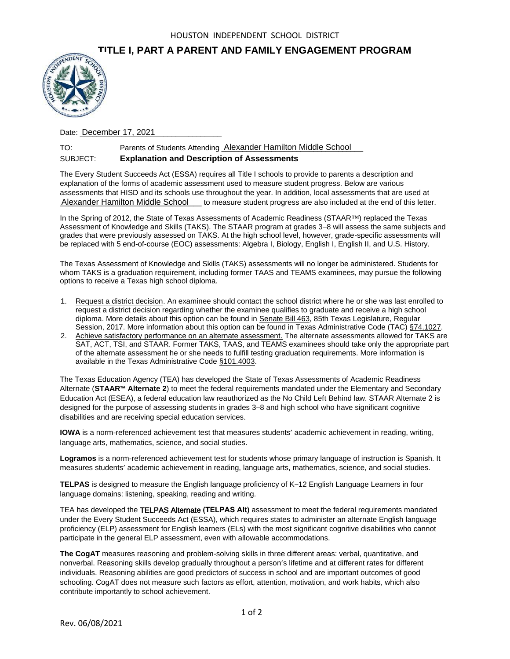## **TITLE I, PART A PARENT AND FAMILY ENGAGEMENT PROGRAM**



Date: **December 17, 2021** 

## TO: Parents of Students Attending Alexander Hamilton Middle School SUBJECT: **Explanation and Description of Assessments**

The Every Student Succeeds Act (ESSA) requires all Title I schools to provide to parents a description and explanation of the forms of academic assessment used to measure student progress. Below are various assessments that HISD and its schools use throughout the year. In addition, local assessments that are used at Alexander Hamilton Middle School to measure student progress are also included at the end of this letter. For Farents of Students Attending Alexander Hamilton Middle School<br>SUBJECT: Explanation and Description of Assessments<br>The Every Student Succeeds Act (ESSA) requires all Title I schools to provide to parents<br>explanation of

In the Spring of 2012, the State of Texas Assessments of Academic Readiness (STAAR™) replaced the Texas Assessment of Knowledge and Skills (TAKS). The STAAR program at grades 3–8 will assess the same subjects and grades that were previously assessed on TAKS. At the high school level, however, grade-specific assessments will be replaced with 5 end-of-course (EOC) assessments: Algebra I, Biology, English I, English II, and U.S. History.

The Texas Assessment of Knowledge and Skills (TAKS) assessments will no longer be administered. Students for whom TAKS is a graduation requirement, including former TAAS and TEAMS examinees, may pursue the following options to receive a Texas high school diploma.

- 1. Request a district decision. An examinee should contact the school district where he or she was last enrolled to request a district decision regarding whether the examinee qualifies to graduate and receive a high school diploma. More details about this option can be found in Senate Bill 463, 85th Texas Legislature, Regular Session, 2017. More information about this option can be found in Texas Administrative Code (TAC) §74.1027.
- 2. Achieve satisfactory performance on an alternate assessment. The alternate assessments allowed for TAKS are SAT, ACT, TSI, and STAAR. Former TAKS, TAAS, and TEAMS examinees should take only the appropriate part of the alternate assessment he or she needs to fulfill testing graduation requirements. More information is available in the Texas Administrative Code §101.4003.

The Texas Education Agency (TEA) has developed the State of Texas Assessments of Academic Readiness Alternate (**STAAR™ Alternate 2**) to meet the federal requirements mandated under the Elementary and Secondary Education Act (ESEA), a federal education law reauthorized as the No Child Left Behind law. STAAR Alternate 2 is designed for the purpose of assessing students in grades 3–8 and high school who have significant cognitive disabilities and are receiving special education services.

**IOWA** is a norm-referenced achievement test that measures students' academic achievement in reading, writing, language arts, mathematics, science, and social studies.

**Logramos** is a norm-referenced achievement test for students whose primary language of instruction is Spanish. It measures students' academic achievement in reading, language arts, mathematics, science, and social studies.

**TELPAS** is designed to measure the English language proficiency of K–12 English Language Learners in four language domains: listening, speaking, reading and writing.

TEA has developed the TELPAS Alternate **(TELPAS Alt)** assessment to meet the federal requirements mandated under the Every Student Succeeds Act (ESSA), which requires states to administer an alternate English language proficiency (ELP) assessment for English learners (ELs) with the most significant cognitive disabilities who cannot participate in the general ELP assessment, even with allowable accommodations.

**The CogAT** measures reasoning and problem-solving skills in three different areas: verbal, quantitative, and nonverbal. Reasoning skills develop gradually throughout a person's lifetime and at different rates for different individuals. Reasoning abilities are good predictors of success in school and are important outcomes of good schooling. CogAT does not measure such factors as effort, attention, motivation, and work habits, which also contribute importantly to school achievement.